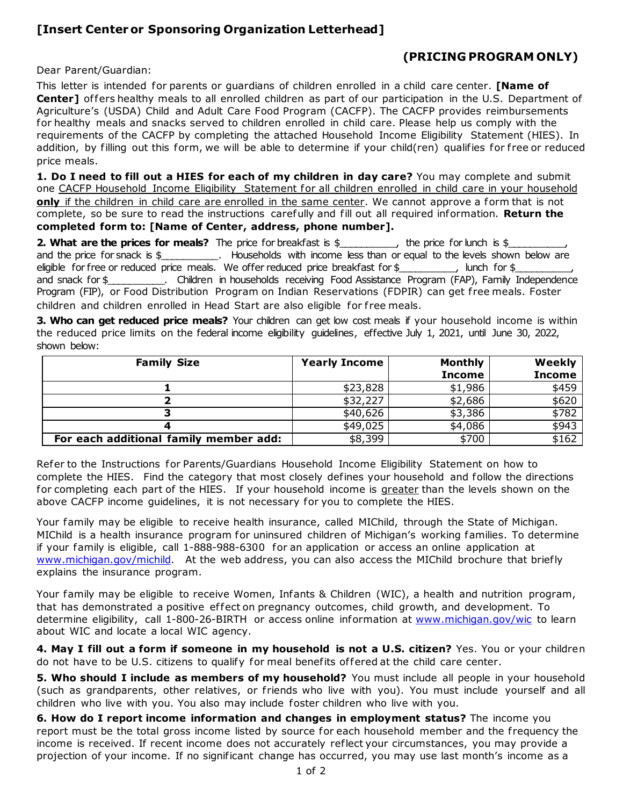## **[Insert Centeror Sponsoring Organization Letterhead]**

## **(PRICING PROGRAM ONLY)**

Dear Parent/Guardian:

This letter is intended for parents or guardians of children enrolled in a child care center. **[Name of Center]** offers healthy meals to all enrolled children as part of our participation in the U.S. Department of Agriculture's (USDA) Child and Adult Care Food Program (CACFP). The CACFP provides reimbursements for healthy meals and snacks served to children enrolled in child care. Please help us comply with the requirements of the CACFP by completing the attached Household Income Eligibility Statement (HIES). In addition, by filling out this form, we will be able to determine if your child(ren) qualifies for free or reduced price meals.

**1. Do I need to fill out a HIES for each of my children in day care?** You may complete and submit one CACFP Household Income Eligibility Statement for all children enrolled in child care in your household **only** if the children in child care are enrolled in the same center. We cannot approve a form that is not complete, so be sure to read the instructions carefully and fill out all required information. **Return the completed form to: [Name of Center, address, phone number].** 

**2. What are the prices for meals?** The price for breakfast is \$\_\_\_\_\_\_\_\_, the price for lunch is \$\_ and the price for snack is \$\_\_\_\_\_\_\_\_\_\_\_. Households with income less than or equal to the levels shown below are eligible for free or reduced price meals. We offer reduced price breakfast for  $\frac{1}{2}$   $\frac{1}{2}$  lunch for  $\frac{1}{2}$ and snack for \$\_\_\_\_\_\_\_\_\_\_. Children in households receiving Food Assistance Program (FAP), Family Independence Program (FIP), or Food Distribution Program on Indian Reservations (FDPIR) can get free meals. Foster children and children enrolled in Head Start are also eligible for free meals.

**3. Who can get reduced price meals?** Your children can get low cost meals if your household income is within the reduced price limits on the federal income eligibility guidelines, effective July 1, 2021, until June 30, 2022, shown below:

| <b>Family Size</b>                     | <b>Yearly Income</b> | <b>Monthly</b> | Weekly        |
|----------------------------------------|----------------------|----------------|---------------|
|                                        |                      | <b>Income</b>  | <b>Income</b> |
|                                        | \$23,828             | \$1,986        | \$459         |
|                                        | \$32,227             | \$2,686        | \$620         |
|                                        | \$40,626             | \$3,386        | \$782         |
|                                        | \$49,025             | \$4,086        | \$943         |
| For each additional family member add: | \$8,399              | \$700          | \$162         |

Refer to the Instructions for Parents/Guardians Household Income Eligibility Statement on how to complete the HIES. Find the category that most closely defines your household and follow the directions for completing each part of the HIES. If your household income is greater than the levels shown on the above CACFP income guidelines, it is not necessary for you to complete the HIES.

Your family may be eligible to receive health insurance, called MIChild, through the State of Michigan. MIChild is a health insurance program for uninsured children of Michigan's working families. To determine if your family is eligible, call 1-888-988-6300 for an application or access an online application at [www.michigan.gov/michild.](http://www.michigan.gov/michild) At the web address, you can also access the MIChild brochure that briefly explains the insurance program.

Your family may be eligible to receive Women, Infants & Children (WIC), a health and nutrition program, that has demonstrated a positive effect on pregnancy outcomes, child growth, and development. To determine eligibility, call 1-800-26-BIRTH or access online information at [www.michigan.gov/wic](http://www.michigan.gov/wic) to learn about WIC and locate a local WIC agency.

**4. May I fill out a form if someone in my household is not a U.S. citizen?** Yes. You or your children do not have to be U.S. citizens to qualify for meal benefits of fered at the child care center.

**5. Who should I include as members of my household?** You must include all people in your household (such as grandparents, other relatives, or friends who live with you). You must include yourself and all children who live with you. You also may include foster children who live with you.

**6. How do I report income information and changes in employment status?** The income you report must be the total gross income listed by source for each household member and the frequency the income is received. If recent income does not accurately reflect your circumstances, you may provide a projection of your income. If no significant change has occurred, you may use last month's income as a